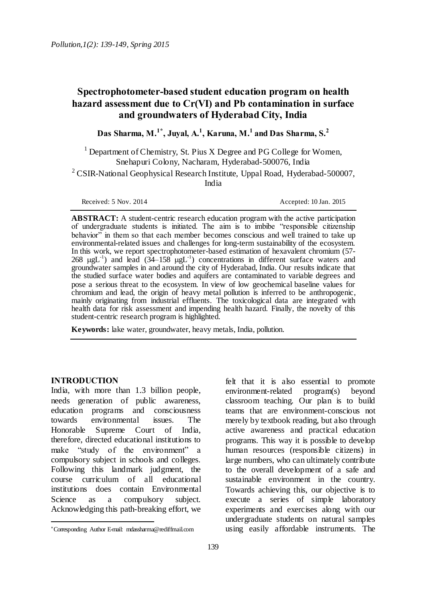# **Spectrophotometer-based student education program on health hazard assessment due to Cr(VI) and Pb contamination in surface and groundwaters of Hyderabad City, India**

**Das Sharma, M.1\* , Juyal, A.<sup>1</sup> , Karuna, M.<sup>1</sup> and Das Sharma, S.<sup>2</sup>**

<sup>1</sup> Department of Chemistry, St. Pius X Degree and PG College for Women, Snehapuri Colony, Nacharam, Hyderabad-500076, India

 $2$  CSIR-National Geophysical Research Institute, Uppal Road, Hyderabad-500007, India

Received: 5 Nov. 2014 <br>
Accepted: 10 Jan. 2015

**ABSTRACT:** A student-centric research education program with the active participation of undergraduate students is initiated. The aim is to imbibe "responsible citizenship" behavior<sup> $\frac{1}{2}$ </sup> in them so that each member becomes conscious and well trained to take up environmental-related issues and challenges for long-term sustainability of the ecosystem. In this work, we report spectrophotometer-based estimation of hexavalent chromium (57- 268  $\mu$ gL<sup>-1</sup>) and lead (34–158  $\mu$ gL<sup>-1</sup>) concentrations in different surface waters and groundwater samples in and around the city of Hyderabad, India. Our results indicate that the studied surface water bodies and aquifers are contaminated to variable degrees and pose a serious threat to the ecosystem. In view of low geochemical baseline values for chromium and lead, the origin of heavy metal pollution is inferred to be anthropogenic, mainly originating from industrial effluents. The toxicological data are integrated with health data for risk assessment and impending health hazard. Finally, the novelty of this student-centric research program is highlighted.

**Keywords:** lake water, groundwater, heavy metals, India, pollution.

#### **INTRODUCTION**

 $\overline{a}$ 

India, with more than 1.3 billion people, needs generation of public awareness, education programs and consciousness towards environmental issues. The Honorable Supreme Court of India, therefore, directed educational institutions to make "study of the environment" a compulsory subject in schools and colleges. Following this landmark judgment, the course curriculum of all educational institutions does contain Environmental Science as a compulsory subject. Acknowledging this path-breaking effort, we

felt that it is also essential to promote environment-related program(s) beyond classroom teaching. Our plan is to build teams that are environment-conscious not merely by textbook reading, but also through active awareness and practical education programs. This way it is possible to develop human resources (responsible citizens) in large numbers, who can ultimately contribute to the overall development of a safe and sustainable environment in the country. Towards achieving this, our objective is to execute a series of simple laboratory experiments and exercises along with our undergraduate students on natural samples using easily affordable instruments. The

Corresponding Author E-mail: mdassharma@rediffmail.com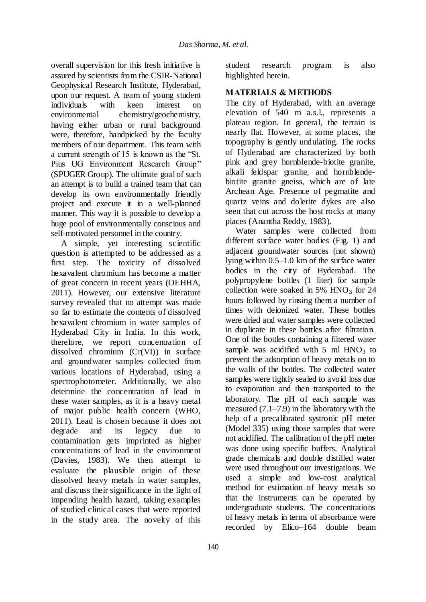overall supervision for this fresh initiative is assured by scientists from the CSIR-National Geophysical Research Institute, Hyderabad, upon our request. A team of young student<br>individuals with keen interest on individuals with keen interest on environmental chemistry/geochemistry, having either urban or rural background were, therefore, handpicked by the faculty members of our department. This team with a current strength of 15 is known as the "St. Pius UG Environment Research Group" (SPUGER Group). The ultimate goal of such an attempt is to build a trained team that can develop its own environmentally friendly project and execute it in a well-planned manner. This way it is possible to develop a huge pool of environmentally conscious and self-motivated personnel in the country.

A simple, yet interesting scientific question is attempted to be addressed as a first step. The toxicity of dissolved hexavalent chromium has become a matter of great concern in recent years (OEHHA, 2011). However, our extensive literature survey revealed that no attempt was made so far to estimate the contents of dissolved hexavalent chromium in water samples of Hyderabad City in India. In this work, therefore, we report concentration of dissolved chromium (Cr(VI)) in surface and groundwater samples collected from various locations of Hyderabad, using a spectrophotometer. Additionally, we also determine the concentration of lead in these water samples, as it is a heavy metal of major public health concern (WHO, 2011). Lead is chosen because it does not degrade and its legacy due to contamination gets imprinted as higher concentrations of lead in the environment (Davies, 1983). We then attempt to evaluate the plausible origin of these dissolved heavy metals in water samples, and discuss their significance in the light of impending health hazard, taking examples of studied clinical cases that were reported in the study area. The novelty of this

140

student research program is also highlighted herein.

### **MATERIALS & METHODS**

The city of Hyderabad, with an average elevation of 540 m a.s.l., represents a plateau region. In general, the terrain is nearly flat. However, at some places, the topography is gently undulating. The rocks of Hyderabad are characterized by both pink and grey hornblende-biotite granite, alkali feldspar granite, and hornblendebiotite granite gneiss, which are of late Archean Age. Presence of pegmatite and quartz veins and dolerite dykes are also seen that cut across the host rocks at many places (Anantha Reddy, 1983).

Water samples were collected from different surface water bodies (Fig. 1) and adjacent groundwater sources (not shown) lying within 0.5–1.0 km of the surface water bodies in the city of Hyderabad. The polypropylene bottles (1 liter) for sample collection were soaked in 5%  $HNO<sub>3</sub>$  for 24 hours followed by rinsing them a number of times with deionized water. These bottles were dried and water samples were collected in duplicate in these bottles after filtration. One of the bottles containing a filtered water sample was acidified with 5 ml  $HNO<sub>3</sub>$  to prevent the adsorption of heavy metals on to the walls of the bottles. The collected water samples were tightly sealed to avoid loss due to evaporation and then transported to the laboratory. The pH of each sample was measured (7.1–7.9) in the laboratory with the help of a precalibrated systronic pH meter (Model 335) using those samples that were not acidified. The calibration of the pH meter was done using specific buffers. Analytical grade chemicals and double distilled water were used throughout our investigations. We used a simple and low-cost analytical method for estimation of heavy metals so that the instruments can be operated by undergraduate students. The concentrations of heavy metals in terms of absorbance were recorded by Elico–164 double beam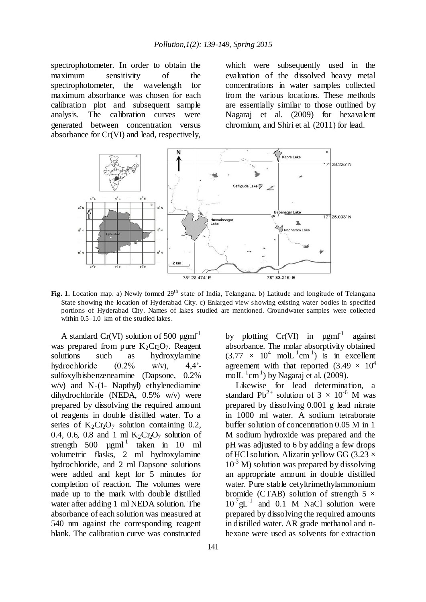spectrophotometer. In order to obtain the maximum sensitivity of the spectrophotometer, the wavelength for maximum absorbance was chosen for each calibration plot and subsequent sample analysis. The calibration curves were generated between concentration versus absorbance for Cr(VI) and lead, respectively,

which were subsequently used in the evaluation of the dissolved heavy metal concentrations in water samples collected from the various locations. These methods are essentially similar to those outlined by Nagaraj et al. (2009) for hexavalent chromium, and Shiri et al. (2011) for lead.



Fig. 1. Location map. a) Newly formed 29<sup>th</sup> state of India, Telangana. b) Latitude and longitude of Telangana State showing the location of Hyderabad City. c) Enlarged view showing existing water bodies in specified portions of Hyderabad City. Names of lakes studied are mentioned. Groundwater samples were collected within 0.5–1.0 km of the studied lakes.

A standard Cr(VI) solution of 500  $\mu$ gml<sup>-1</sup> was prepared from pure  $K_2Cr_2O_7$ . Reagent solutions such as hydroxylamine such as hydroxylamine hydrochloride  $(0.2\% \text{ w/v}),$  4,4<sup>2</sup>sulfoxylbisbenzeneamine (Dapsone, 0.2%  $w/v$ ) and N-(1- Napthyl) ethylenediamine dihydrochloride (NEDA, 0.5% w/v) were prepared by dissolving the required amount of reagents in double distilled water. To a series of  $K_2Cr_2O_7$  solution containing 0.2, 0.4, 0.6, 0.8 and 1 ml  $K_2CrO_7$  solution of strength 500  $\mu$ gml<sup>-1</sup> taken in 10 ml volumetric flasks, 2 ml hydroxylamine hydrochloride, and 2 ml Dapsone solutions were added and kept for 5 minutes for completion of reaction. The volumes were made up to the mark with double distilled water after adding 1 ml NEDA solution. The absorbance of each solution was measured at 540 nm against the corresponding reagent blank. The calibration curve was constructed

by plotting  $Cr(VI)$  in  $\mu g mI^{-1}$ against absorbance. The molar absorptivity obtained  $(3.77 \times 10^4 \text{ mol}L^{-1} \text{cm}^{-1})$  is in excellent agreement with that reported  $(3.49 \times 10^4)$ mol $L^{-1}$ cm<sup>-1</sup>) by Nagaraj et al. (2009).

Likewise for lead determination, a standard Pb<sup>2+</sup> solution of  $3 \times 10^{-6}$  M was prepared by dissolving 0.001 g lead nitrate in 1000 ml water. A sodium tetraborate buffer solution of concentration 0.05 M in 1 M sodium hydroxide was prepared and the pH was adjusted to 6 by adding a few drops of HCl solution. Alizarin yellow GG (3.23  $\times$  $10^{-3}$  M) solution was prepared by dissolving an appropriate amount in double distilled water. Pure stable cetyltrimethylammonium bromide (CTAB) solution of strength  $5 \times$  $10^{-7}$  gL<sup>-1</sup> and 0.1 M NaCl solution were prepared by dissolving the required amounts in distilled water. AR grade methanol and nhexane were used as solvents for extraction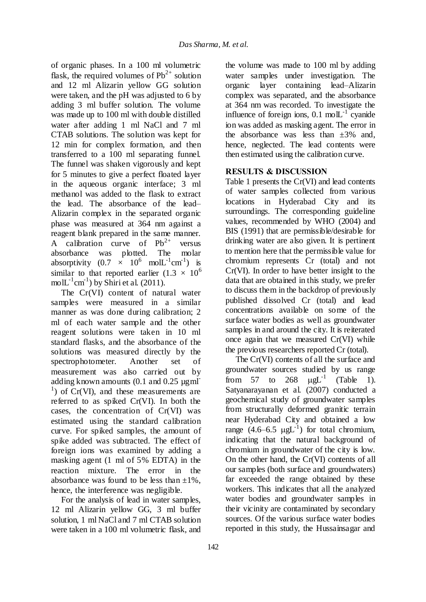of organic phases. In a 100 ml volumetric flask, the required volumes of  $Pb^{2+}$  solution and 12 ml Alizarin yellow GG solution were taken, and the pH was adjusted to 6 by adding 3 ml buffer solution. The volume was made up to 100 ml with double distilled water after adding 1 ml NaCl and 7 ml CTAB solutions. The solution was kept for 12 min for complex formation, and then transferred to a 100 ml separating funnel. The funnel was shaken vigorously and kept for 5 minutes to give a perfect floated layer in the aqueous organic interface; 3 ml methanol was added to the flask to extract the lead. The absorbance of the lead– Alizarin complex in the separated organic phase was measured at 364 nm against a reagent blank prepared in the same manner. A calibration curve of  $Pb^{2+}$  versus absorbance was plotted. The molar absorptivity  $(0.7 \times 10^6 \text{ mol}L^{-1} \text{cm}^{-1})$  is similar to that reported earlier (1.3  $\times$  10<sup>6</sup>) mol $L^{-1}$ cm<sup>-1</sup>) by Shiri et al. (2011).

The Cr(VI) content of natural water samples were measured in a similar manner as was done during calibration; 2 ml of each water sample and the other reagent solutions were taken in 10 ml standard flasks, and the absorbance of the solutions was measured directly by the spectrophotometer. Another set of measurement was also carried out by adding known amounts  $(0.1 \text{ and } 0.25 \text{ µgml}^{-1})$  $\alpha$ <sup>1</sup>) of Cr(VI), and these measurements are referred to as spiked Cr(VI). In both the cases, the concentration of Cr(VI) was estimated using the standard calibration curve. For spiked samples, the amount of spike added was subtracted. The effect of foreign ions was examined by adding a masking agent (1 ml of 5% EDTA) in the reaction mixture. The error in the absorbance was found to be less than  $\pm 1\%$ , hence, the interference was negligible.

For the analysis of lead in water samples, 12 ml Alizarin yellow GG, 3 ml buffer solution, 1 ml NaCl and 7 ml CTAB solution were taken in a 100 ml volumetric flask, and

the volume was made to 100 ml by adding water samples under investigation. The organic layer containing lead–Alizarin complex was separated, and the absorbance at 364 nm was recorded. To investigate the influence of foreign ions,  $0.1 \text{ mol} \mathbb{L}^{-1}$  cyanide ion was added as masking agent. The error in the absorbance was less than  $\pm 3\%$  and, hence, neglected. The lead contents were then estimated using the calibration curve.

# **RESULTS & DISCUSSION**

Table 1 presents the Cr(VI) and lead contents of water samples collected from various locations in Hyderabad City and its surroundings. The corresponding guideline values, recommended by WHO (2004) and BIS (1991) that are permissible/desirable for drinking water are also given. It is pertinent to mention here that the permissible value for chromium represents Cr (total) and not Cr(VI). In order to have better insight to the data that are obtained in this study, we prefer to discuss them in the backdrop of previously published dissolved Cr (total) and lead concentrations available on some of the surface water bodies as well as groundwater samples in and around the city. It is reiterated once again that we measured Cr(VI) while the previous researchers reported Cr (total).

The Cr(VI) contents of all the surface and groundwater sources studied by us range from  $57$  to  $268$  $\mu$ g $L^{-1}$  (Table 1). Satyanarayanan et al. (2007) conducted a geochemical study of groundwater samples from structurally deformed granitic terrain near Hyderabad City and obtained a low range  $(4.6-6.5 \mu gL^{-1})$  for total chromium, indicating that the natural background of chromium in groundwater of the city is low. On the other hand, the Cr(VI) contents of all our samples (both surface and groundwaters) far exceeded the range obtained by these workers. This indicates that all the analyzed water bodies and groundwater samples in their vicinity are contaminated by secondary sources. Of the various surface water bodies reported in this study, the Hussainsagar and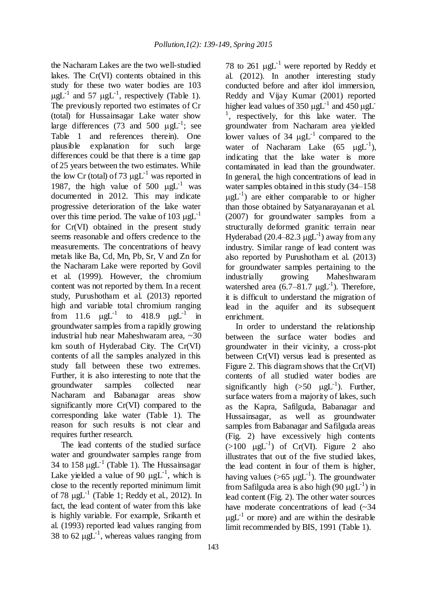the Nacharam Lakes are the two well-studied lakes. The Cr(VI) contents obtained in this study for these two water bodies are 103  $\mu g L^{-1}$  and 57  $\mu g L^{-1}$ , respectively (Table 1). The previously reported two estimates of Cr (total) for Hussainsagar Lake water show large differences (73 and 500  $\mu gL^{-1}$ ; see Table 1 and references therein). One plausible explanation for such large differences could be that there is a time gap of 25 years between the two estimates. While the low Cr (total) of 73  $\mu gL^{-1}$  was reported in 1987, the high value of  $500 \text{ µgL}^{-1}$  was documented in 2012. This may indicate progressive deterioration of the lake water over this time period. The value of 103  $\mu gL^{-1}$ for Cr(VI) obtained in the present study seems reasonable and offers credence to the measurements. The concentrations of heavy metals like Ba, Cd, Mn, Pb, Sr, V and Zn for the Nacharam Lake were reported by Govil et al. (1999). However, the chromium content was not reported by them. In a recent study, Purushotham et al. (2013) reported high and variable total chromium ranging from 11.6  $\mu g L^{-1}$  to 418.9  $\mu g L^{-1}$  in groundwater samples from a rapidly growing industrial hub near Maheshwaram area, ~30 km south of Hyderabad City. The Cr(VI) contents of all the samples analyzed in this study fall between these two extremes. Further, it is also interesting to note that the groundwater samples collected near Nacharam and Babanagar areas show significantly more Cr(VI) compared to the corresponding lake water (Table 1). The reason for such results is not clear and requires further research.

The lead contents of the studied surface water and groundwater samples range from 34 to 158  $\mu gL^{-1}$  (Table 1). The Hussainsagar Lake yielded a value of 90  $\mu g L^{-1}$ , which is close to the recently reported minimum limit of 78  $\mu$ gL<sup>-1</sup> (Table 1; Reddy et al., 2012). In fact, the lead content of water from this lake is highly variable. For example, Srikanth et al. (1993) reported lead values ranging from 38 to 62  $\mu gL^{-1}$ , whereas values ranging from

78 to 261  $\mu$ gL<sup>-1</sup> were reported by Reddy et al. (2012). In another interesting study conducted before and after idol immersion, Reddy and Vijay Kumar (2001) reported higher lead values of 350  $\mu$ gL<sup>-1</sup> and 450  $\mu$ gL<sup>-</sup> <sup>1</sup>, respectively, for this lake water. The groundwater from Nacharam area yielded lower values of 34  $\mu gL^{-1}$  compared to the water of Nacharam Lake  $(65 \mu gL^{-1})$ , indicating that the lake water is more contaminated in lead than the groundwater. In general, the high concentrations of lead in water samples obtained in this study (34–158  $\mu g L^{-1}$ ) are either comparable to or higher than those obtained by Satyanarayanan et al. (2007) for groundwater samples from a structurally deformed granitic terrain near Hyderabad (20.4–82.3  $\mu gL^{-1}$ ) away from any industry. Similar range of lead content was also reported by Purushotham et al. (2013) for groundwater samples pertaining to the industrially growing Maheshwaram watershed area  $(6.7-81.7 \text{ }\mu\text{gL}^{-1})$ . Therefore, it is difficult to understand the migration of lead in the aquifer and its subsequent enrichment.

In order to understand the relationship between the surface water bodies and groundwater in their vicinity, a cross-plot between Cr(VI) versus lead is presented as Figure 2. This diagram shows that the Cr(VI) contents of all studied water bodies are significantly high  $(50 \ \mu gL^{-1})$ . Further, surface waters from a majority of lakes, such as the Kapra, Safilguda, Babanagar and Hussainsagar, as well as groundwater samples from Babanagar and Safilguda areas (Fig. 2) have excessively high contents  $(>100 \text{ }\mu\text{gL}^{-1})$  of Cr(VI). Figure 2 also illustrates that out of the five studied lakes, the lead content in four of them is higher, having values ( $>65 \mu gL^{-1}$ ). The groundwater from Safilguda area is also high  $(90 \mu gL^{-1})$  in lead content (Fig. 2). The other water sources have moderate concentrations of lead  $(\sim 34)$  $\mu$ gL<sup>-1</sup> or more) and are within the desirable limit recommended by BIS, 1991 (Table 1).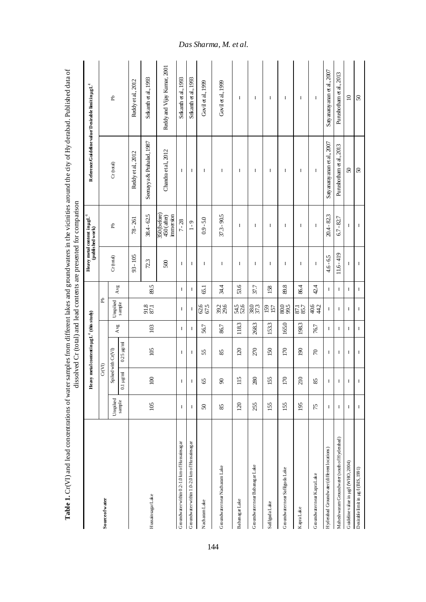|                                                |              |                |                                                 |       |                    |      |              | dissolved Cr (total) and lead contents are presented for comparison |                               |                                                        |
|------------------------------------------------|--------------|----------------|-------------------------------------------------|-------|--------------------|------|--------------|---------------------------------------------------------------------|-------------------------------|--------------------------------------------------------|
|                                                |              |                | Heavy metal content in $\mu g L^4$ (this study) |       |                    |      |              | Heavy metal content in $\mu g L^4$<br>(published work)              |                               | Reference/Guideline value/Desirable limitin $\mu g L4$ |
| <b>Source of water</b>                         |              | Cr(VI)         |                                                 |       | Ê,                 |      |              |                                                                     |                               |                                                        |
|                                                | Unspiked     |                | Spiked with Cr(VI)                              | Avg   | Unspiked<br>sample | Avg  | $Cr$ (total) | £                                                                   | $Cr$ (total)                  | <b>F</b>                                               |
|                                                | sample       | $0.1 \mu g$ /m | $0.25 \text{ kg/ml}$                            |       |                    |      |              |                                                                     |                               |                                                        |
|                                                |              |                |                                                 |       |                    |      | $93 - 105$   | $78 - 261$                                                          | Reddy et al., 2012            | Reddy et al., 2012                                     |
| HussainsagarLake                               | 105          | 100            | 105                                             | 103   | 91.8<br>87.1       | 89.5 | 723          | $38.4 - 62.5$                                                       | Seenayy a & Prahalad, 1987    | Srikanth et al., 1993                                  |
|                                                |              |                |                                                 |       |                    |      | 500          | 350 (before)<br>450 (after)<br>immersion                            | Chandra et al., 2012          | Reddy and Vijay Kumar, 2001                            |
| Groundwater within 0.2-1.0 km of Hussains agar | t,           | ÷,             | f.                                              | ÷     | f,                 | ÷    | f,           | $7 - 28$                                                            | f.                            | Srikanth et al., 1993                                  |
| Groundwater within 1.0-2.0 km of Hussainsagar  | $\mathbf{I}$ | J,             | ÷                                               | f,    | J.                 | ÷    | J.           | $1 - 9$                                                             | ÷                             | Srikanth et al., 1993                                  |
| NacharamLake                                   | $\sqrt{5}$   | S              | 55                                              | 56.7  | 62.5<br>67.5       | 65.1 | f.           | $0.9 - 5.0$                                                         | f.                            | Govil et al., 1999                                     |
| Groundwater near Nacharam Lake                 | 85           | ಕ              | 85                                              | 86.7  | 39.6               | 34.4 | ł            | 37.3 - 90.5                                                         | H                             | Govil et al., 1999                                     |
| Babanagar Lake                                 | 120          | 115            | 120                                             | 118.3 | 54.5<br>52.6       | 53.6 | ı            | H                                                                   | ı                             | ı                                                      |
| GroundwaternearBabanagarLake                   | 255          | 280            | 270                                             | 268.3 | 38.0               | 37.7 | ł            | ł                                                                   | I                             | I                                                      |
| SafilgudaLake                                  | 155          | 155            | 150                                             | 153.3 | 157<br>157         | 158  | ł.           | H                                                                   | f.                            | f.                                                     |
| Groundwater near Safilguda Lake                | 155          | 170            | 170                                             | 165.0 | 80.0<br>99.5       | 89.8 | t,           | f.                                                                  | f.                            | f.                                                     |
| KapraLake                                      | 195          | 210            | 90                                              | 198.3 | 87.7               | 86.4 | t,           | f.                                                                  | f.                            | f.                                                     |
| Groundwater near Kapra Lake                    | 75           | 85             | $\approx$                                       | 76.7  | 44.2               | 42.4 | f,           | f.                                                                  | H,                            | ÷                                                      |
| Hyderabad Groundwater (different locations)    | f,           | ł,             | ÷                                               | ÷     | ÷                  | J.   | $4.6 - 6.5$  | 20.4 - 82.3                                                         | Saty anaray anan et al., 2007 | Saty anaray anan et al., 2007                          |
| Maheshwaram Groundwater (south of Hyderabad)   | H,           | ł,             | f.                                              | ł.    | f.                 | ł.   | $11.6 - 419$ | $6.7 - 82.7$                                                        | Purushotham et al., 2013      | Purushotham et al., 2013                               |
| Guideline value in µg/l (WHO, 2004)            | J.           | ÷              | J.                                              | ÷     | f,                 | J.   | t            | f,                                                                  | $\boldsymbol{\mathcal{S}}$    | $\approx$                                              |
| Desirable limit in µg/l (BIS, 1991)            | ł            | J,             | t                                               | t,    | f,                 | f,   | f,           | t                                                                   | $\boldsymbol{S}$              | $\boldsymbol{S}$                                       |

Table 1. Cr(VI) and lead concentrations of water samples from different lakes and groundwaters in the vicinities around the city of Hy derabad. Published data of **Table 1.** Cr(VI) and lead concentrations of water samples from different lakes and groundwaters in the vicinities around the city of Hy derabad. Published data of

### *Das Sharma, M. et al .*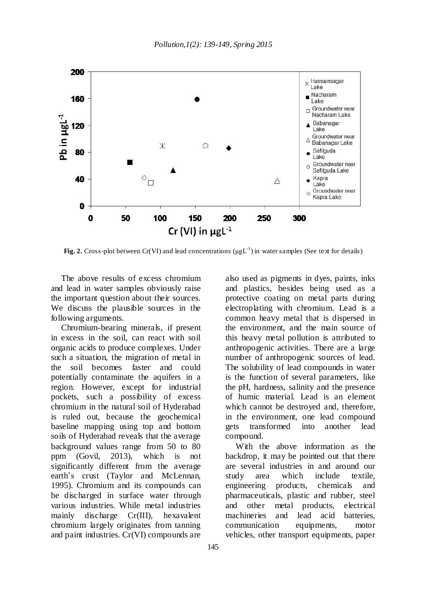

Fig. 2. Cross-plot between Cr(VI) and lead concentrations ( $\mu g L^{-1}$ ) in water samples (See text for details)

The above results of excess chromium and lead in water samples obviously raise the important question about their sources. We discuss the plausible sources in the following arguments.

Chromium-bearing minerals, if present in excess in the soil, can react with soil organic acids to produce complexes. Under such a situation, the migration of metal in the soil becomes faster and could potentially contaminate the aquifers in a region. However, except for industrial pockets, such a possibility of excess chromium in the natural soil of Hyderabad is ruled out, because the geochemical baseline mapping using top and bottom soils of Hyderabad reveals that the average background values range from 50 to 80 ppm (Govil, 2013), which is not significantly different from the average earth's crust (Taylor and McLennan, 1995). Chromium and its compounds can be discharged in surface water through various industries. While metal industries mainly discharge Cr(III), hexavalent chromium largely originates from tanning and paint industries. Cr(VI) compounds are

also used as pigments in dyes, paints, inks and plastics, besides being used as a protective coating on metal parts during electroplating with chromium. Lead is a common heavy metal that is dispersed in the environment, and the main source of this heavy metal pollution is attributed to anthropogenic activities. There are a large number of anthropogenic sources of lead. The solubility of lead compounds in water is the function of several parameters, like the pH, hardness, salinity and the presence of humic material. Lead is an element which cannot be destroyed and, therefore, in the environment, one lead compound gets transformed into another lead compound.

With the above information as the backdrop, it may be pointed out that there are several industries in and around our study area which include textile, engineering products, chemicals and pharmaceuticals, plastic and rubber, steel and other metal products, electrical machineries and lead acid batteries, communication equipments, motor vehicles, other transport equipments, paper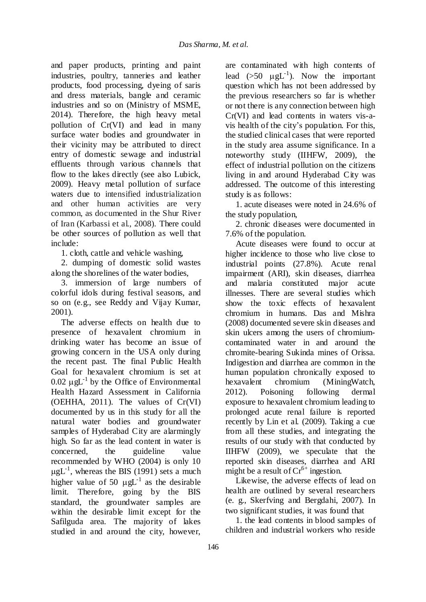and paper products, printing and paint industries, poultry, tanneries and leather products, food processing, dyeing of saris and dress materials, bangle and ceramic industries and so on (Ministry of MSME, 2014). Therefore, the high heavy metal pollution of Cr(VI) and lead in many surface water bodies and groundwater in their vicinity may be attributed to direct entry of domestic sewage and industrial effluents through various channels that flow to the lakes directly (see also Lubick, 2009). Heavy metal pollution of surface waters due to intensified industrialization and other human activities are very common, as documented in the Shur River of Iran (Karbassi et al., 2008). There could be other sources of pollution as well that include:

1. cloth, cattle and vehicle washing,

2. dumping of domestic solid wastes along the shorelines of the water bodies,

3. immersion of large numbers of colorful idols during festival seasons, and so on (e.g., see Reddy and Vijay Kumar, 2001).

The adverse effects on health due to presence of hexavalent chromium in drinking water has become an issue of growing concern in the USA only during the recent past. The final Public Health Goal for hexavalent chromium is set at 0.02  $\mu$ gL<sup>-1</sup> by the Office of Environmental Health Hazard Assessment in California (OEHHA, 2011). The values of Cr(VI) documented by us in this study for all the natural water bodies and groundwater samples of Hyderabad City are alarmingly high. So far as the lead content in water is concerned, the guideline value recommended by WHO (2004) is only 10  $\mu g L^{-1}$ , whereas the BIS (1991) sets a much higher value of 50  $\mu gL^{-1}$  as the desirable limit. Therefore, going by the BIS standard, the groundwater samples are within the desirable limit except for the Safilguda area. The majority of lakes studied in and around the city, however,

are contaminated with high contents of lead  $(50 \ \mu gL^{-1})$ . Now the important question which has not been addressed by the previous researchers so far is whether or not there is any connection between high Cr(VI) and lead contents in waters vis-avis health of the city's population. For this, the studied clinical cases that were reported in the study area assume significance. In a noteworthy study (IIHFW, 2009), the effect of industrial pollution on the citizens living in and around Hyderabad City was addressed. The outcome of this interesting study is as follows:

1. acute diseases were noted in 24.6% of the study population,

2. chronic diseases were documented in 7.6% of the population.

Acute diseases were found to occur at higher incidence to those who live close to industrial points (27.8%). Acute renal impairment (ARI), skin diseases, diarrhea and malaria constituted major acute illnesses. There are several studies which show the toxic effects of hexavalent chromium in humans. Das and Mishra (2008) documented severe skin diseases and skin ulcers among the users of chromiumcontaminated water in and around the chromite-bearing Sukinda mines of Orissa. Indigestion and diarrhea are common in the human population chronically exposed to hexavalent chromium (MiningWatch, 2012). Poisoning following dermal exposure to hexavalent chromium leading to prolonged acute renal failure is reported recently by Lin et al. (2009). Taking a cue from all these studies, and integrating the results of our study with that conducted by IIHFW (2009), we speculate that the reported skin diseases, diarrhea and ARI might be a result of  $Cr^{6+}$  ingestion.

Likewise, the adverse effects of lead on health are outlined by several researchers (e. g., Skerfving and Bergdahi, 2007). In two significant studies, it was found that

1. the lead contents in blood samples of children and industrial workers who reside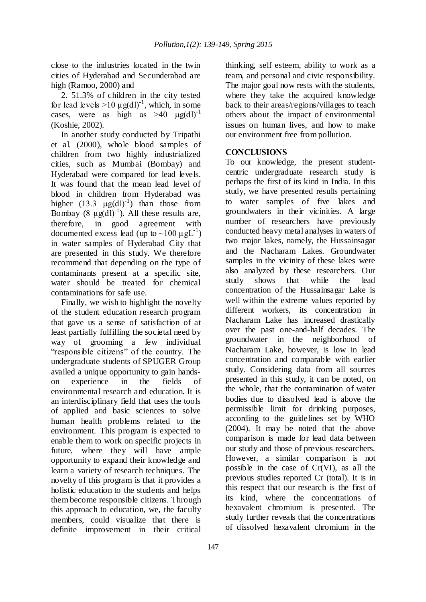close to the industries located in the twin cities of Hyderabad and Secunderabad are high (Ramoo, 2000) and

2. 51.3% of children in the city tested for lead levels  $>10 \mu g(d)^{-1}$ , which, in some cases, were as high as  $>40 \mu$ g(dl)<sup>-1</sup> (Koshie, 2002).

In another study conducted by Tripathi et al. (2000), whole blood samples of children from two highly industrialized cities, such as Mumbai (Bombay) and Hyderabad were compared for lead levels. It was found that the mean lead level of blood in children from Hyderabad was higher  $(13.3 \text{ }\mu\text{g(dl)}^{-1})$  than those from Bombay  $(8 \mu g(d))^{-1}$ ). All these results are, therefore, in good agreement with documented excess lead (up to  $\sim$ 100  $\mu$ gL<sup>-1</sup>) in water samples of Hyderabad City that are presented in this study. We therefore recommend that depending on the type of contaminants present at a specific site, water should be treated for chemical contaminations for safe use.

Finally, we wish to highlight the novelty of the student education research program that gave us a sense of satisfaction of at least partially fulfilling the societal need by way of grooming a few individual "responsible citizens" of the country. The undergraduate students of SPUGER Group availed a unique opportunity to gain handson experience in the fields of environmental research and education. It is an interdisciplinary field that uses the tools of applied and basic sciences to solve human health problems related to the environment. This program is expected to enable them to work on specific projects in future, where they will have ample opportunity to expand their knowledge and learn a variety of research techniques. The novelty of this program is that it provides a holistic education to the students and helps them become responsible citizens. Through this approach to education, we, the faculty members, could visualize that there is definite improvement in their critical

thinking, self esteem, ability to work as a team, and personal and civic responsibility. The major goal now rests with the students, where they take the acquired knowledge back to their areas/regions/villages to teach others about the impact of environmental issues on human lives, and how to make our environment free from pollution.

## **CONCLUSIONS**

To our knowledge, the present studentcentric undergraduate research study is perhaps the first of its kind in India. In this study, we have presented results pertaining to water samples of five lakes and groundwaters in their vicinities. A large number of researchers have previously conducted heavy metal analyses in waters of two major lakes, namely, the Hussainsagar and the Nacharam Lakes. Groundwater samples in the vicinity of these lakes were also analyzed by these researchers. Our study shows that while the lead concentration of the Hussainsagar Lake is well within the extreme values reported by different workers, its concentration in Nacharam Lake has increased drastically over the past one-and-half decades. The groundwater in the neighborhood of Nacharam Lake, however, is low in lead concentration and comparable with earlier study. Considering data from all sources presented in this study, it can be noted, on the whole, that the contamination of water bodies due to dissolved lead is above the permissible limit for drinking purposes, according to the guidelines set by WHO (2004). It may be noted that the above comparison is made for lead data between our study and those of previous researchers. However, a similar comparison is not possible in the case of Cr(VI), as all the previous studies reported Cr (total). It is in this respect that our research is the first of its kind, where the concentrations of hexavalent chromium is presented. The study further reveals that the concentrations of dissolved hexavalent chromium in the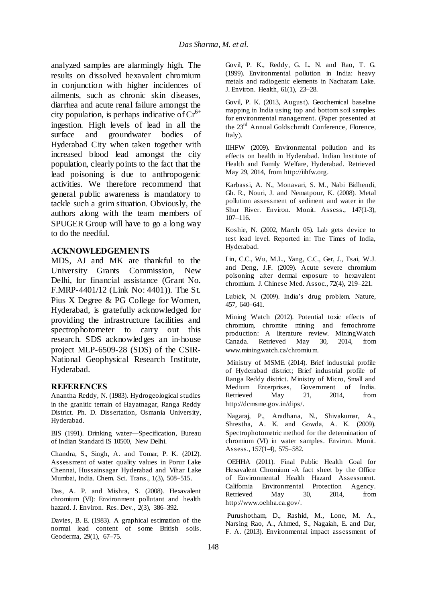analyzed samples are alarmingly high. The results on dissolved hexavalent chromium in conjunction with higher incidences of ailments, such as chronic skin diseases, diarrhea and acute renal failure amongst the city population, is perhaps indicative of  $Cr^{6+}$ ingestion. High levels of lead in all the surface and groundwater bodies of Hyderabad City when taken together with increased blood lead amongst the city population, clearly points to the fact that the lead poisoning is due to anthropogenic activities. We therefore recommend that general public awareness is mandatory to tackle such a grim situation. Obviously, the authors along with the team members of SPUGER Group will have to go a long way to do the needful.

### **ACKNOWLEDGEMENTS**

MDS, AJ and MK are thankful to the University Grants Commission, New Delhi, for financial assistance (Grant No. F.MRP-4401/12 (Link No: 4401)). The St. Pius X Degree & PG College for Women, Hyderabad, is gratefully acknowledged for providing the infrastructure facilities and spectrophotometer to carry out this research. SDS acknowledges an in-house project MLP-6509-28 (SDS) of the CSIR-National Geophysical Research Institute, Hyderabad.

#### **REFERENCES**

Anantha Reddy, N. (1983). Hydrogeological studies in the granitic terrain of Hayatnagar, Ranga Reddy District. Ph. D. Dissertation, Osmania University, Hyderabad.

BIS (1991). Drinking water—Specification, Bureau of Indian Standard IS 10500, New Delhi.

Chandra, S., Singh, A. and Tomar, P. K. (2012). Assessment of water quality values in Porur Lake Chennai, Hussainsagar Hyderabad and Vihar Lake Mumbai, India. Chem. Sci. Trans., 1(3), 508–515.

Das, A. P. and Mishra, S. (2008). Hexavalent chromium (VI): Environment pollutant and health hazard. J. Environ. Res. Dev., 2(3), 386–392.

Davies, B. E. (1983). A graphical estimation of the normal lead content of some British soils. Geoderma, 29(1), 67–75.

Govil, P. K., Reddy, G. L. N. and Rao, T. G. (1999). Environmental pollution in India: heavy metals and radiogenic elements in Nacharam Lake. J. Environ. Health, 61(1), 23–28.

Govil, P. K. (2013, August). Geochemical baseline mapping in India using top and bottom soil samples for environmental management. (Paper presented at the 23<sup>rd</sup> Annual Goldschmidt Conference, Florence, Italy).

IIHFW (2009). Environmental pollution and its effects on health in Hyderabad. Indian Institute of Health and Family Welfare, Hyderabad. Retrieved May 29, 2014, from http://iihfw.org.

Karbassi, A. N., Monavari, S. M., Nabi Bidhendi, Gh. R., Nouri, J. and Nematpour, K. (2008). Metal pollution assessment of sediment and water in the Shur River. Environ. Monit. Assess., 147(1-3), 107–116.

Koshie, N. (2002, March 05). Lab gets device to test lead level. Reported in: The Times of India, Hyderabad.

Lin, C.C., Wu, M.L., Yang, C.C., Ger, J., Tsai, W.J. and Deng, J.F. (2009). Acute severe chromium poisoning after dermal exposure to hexavalent chromium. J. Chinese Med. Assoc., 72(4), 219–221.

Lubick, N. (2009). India's drug problem. Nature, 457, 640–641.

Mining Watch (2012). Potential toxic effects of chromium, chromite mining and ferrochrome production: A literature review. MiningWatch Canada. Retrieved May 30, 2014, from www.miningwatch.ca/chromium.

Ministry of MSME (2014). Brief industrial profile of Hyderabad district; Brief industrial profile of Ranga Reddy district. Ministry of Micro, Small and Medium Enterprises, Government of India. Retrieved May 21, 2014, from http://dcmsme.gov.in/dips/.

Nagaraj, P., Aradhana, N., Shivakumar, A., Shrestha, A. K. and Gowda, A. K. (2009). Spectrophotometric method for the determination of chromium (VI) in water samples. Environ. Monit. Assess., 157(1-4), 575–582.

OEHHA (2011). Final Public Health Goal for Hexavalent Chromium -A fact sheet by the Office of Environmental Health Hazard Assessment. California Environmental Protection Agency. Retrieved May 30, 2014, from http://www.oehha.ca.gov/.

Purushotham, D., Rashid, M., Lone, M. A., Narsing Rao, A., Ahmed, S., Nagaiah, E. and Dar, F. A. (2013). Environmental impact assessment of